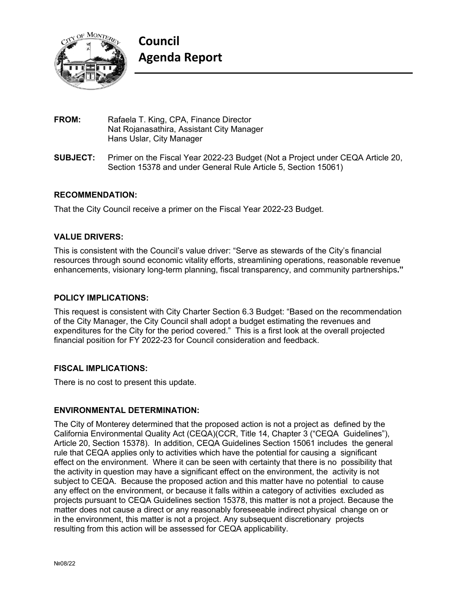

- **FROM:** Rafaela T. King, CPA, Finance Director Nat Rojanasathira, Assistant City Manager Hans Uslar, City Manager
- **SUBJECT:** Primer on the Fiscal Year 2022-23 Budget (Not a Project under CEQA Article 20, Section 15378 and under General Rule Article 5, Section 15061)

# **RECOMMENDATION:**

That the City Council receive a primer on the Fiscal Year 2022-23 Budget.

# **VALUE DRIVERS:**

This is consistent with the Council's value driver: "Serve as stewards of the City's financial resources through sound economic vitality efforts, streamlining operations, reasonable revenue enhancements, visionary long-term planning, fiscal transparency, and community partnerships**."**

# **POLICY IMPLICATIONS:**

This request is consistent with City Charter Section 6.3 Budget: "Based on the recommendation of the City Manager, the City Council shall adopt a budget estimating the revenues and expenditures for the City for the period covered." This is a first look at the overall projected financial position for FY 2022-23 for Council consideration and feedback.

# **FISCAL IMPLICATIONS:**

There is no cost to present this update.

# **ENVIRONMENTAL DETERMINATION:**

The City of Monterey determined that the proposed action is not a project as defined by the California Environmental Quality Act (CEQA)(CCR, Title 14, Chapter 3 ("CEQA Guidelines"), Article 20, Section 15378). In addition, CEQA Guidelines Section 15061 includes the general rule that CEQA applies only to activities which have the potential for causing a significant effect on the environment. Where it can be seen with certainty that there is no possibility that the activity in question may have a significant effect on the environment, the activity is not subject to CEQA. Because the proposed action and this matter have no potential to cause any effect on the environment, or because it falls within a category of activities excluded as projects pursuant to CEQA Guidelines section 15378, this matter is not a project. Because the matter does not cause a direct or any reasonably foreseeable indirect physical change on or in the environment, this matter is not a project. Any subsequent discretionary projects resulting from this action will be assessed for CEQA applicability.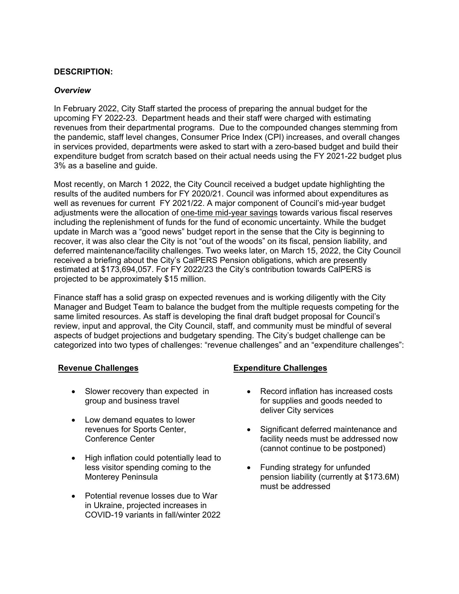# **DESCRIPTION:**

## *Overview*

In February 2022, City Staff started the process of preparing the annual budget for the upcoming FY 2022-23. Department heads and their staff were charged with estimating revenues from their departmental programs. Due to the compounded changes stemming from the pandemic, staff level changes, Consumer Price Index (CPI) increases, and overall changes in services provided, departments were asked to start with a zero-based budget and build their expenditure budget from scratch based on their actual needs using the FY 2021-22 budget plus 3% as a baseline and guide.

Most recently, on March 1 2022, the City Council received a budget update highlighting the results of the audited numbers for FY 2020/21. Council was informed about expenditures as well as revenues for current FY 2021/22. A major component of Council's mid-year budget adjustments were the allocation of one-time mid-year savings towards various fiscal reserves including the replenishment of funds for the fund of economic uncertainty. While the budget update in March was a "good news" budget report in the sense that the City is beginning to recover, it was also clear the City is not "out of the woods" on its fiscal, pension liability, and deferred maintenance/facility challenges. Two weeks later, on March 15, 2022, the City Council received a briefing about the City's CalPERS Pension obligations, which are presently estimated at \$173,694,057. For FY 2022/23 the City's contribution towards CalPERS is projected to be approximately \$15 million.

Finance staff has a solid grasp on expected revenues and is working diligently with the City Manager and Budget Team to balance the budget from the multiple requests competing for the same limited resources. As staff is developing the final draft budget proposal for Council's review, input and approval, the City Council, staff, and community must be mindful of several aspects of budget projections and budgetary spending. The City's budget challenge can be categorized into two types of challenges: "revenue challenges" and an "expenditure challenges":

- Slower recovery than expected in group and business travel
- Low demand equates to lower revenues for Sports Center, Conference Center
- High inflation could potentially lead to less visitor spending coming to the Monterey Peninsula
- Potential revenue losses due to War in Ukraine, projected increases in COVID-19 variants in fall/winter 2022

# **Revenue Challenges Expenditure Challenges**

- Record inflation has increased costs for supplies and goods needed to deliver City services
- Significant deferred maintenance and facility needs must be addressed now (cannot continue to be postponed)
- Funding strategy for unfunded pension liability (currently at \$173.6M) must be addressed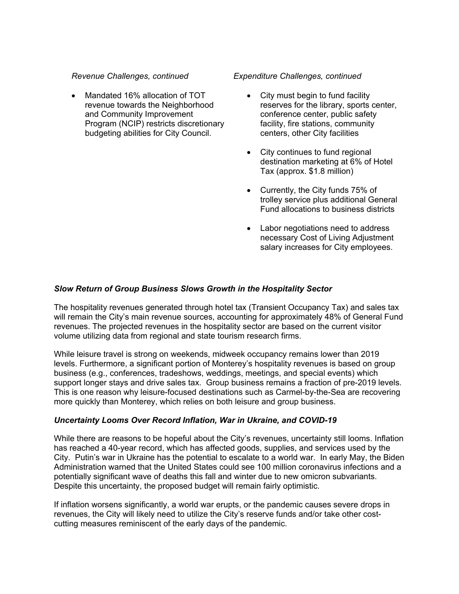## *Revenue Challenges, continued*

 Mandated 16% allocation of TOT revenue towards the Neighborhood and Community Improvement Program (NCIP) restricts discretionary budgeting abilities for City Council.

## *Expenditure Challenges, continued*

- City must begin to fund facility reserves for the library, sports center, conference center, public safety facility, fire stations, community centers, other City facilities
- City continues to fund regional destination marketing at 6% of Hotel Tax (approx. \$1.8 million)
- Currently, the City funds 75% of trolley service plus additional General Fund allocations to business districts
- Labor negotiations need to address necessary Cost of Living Adjustment salary increases for City employees.

# *Slow Return of Group Business Slows Growth in the Hospitality Sector*

The hospitality revenues generated through hotel tax (Transient Occupancy Tax) and sales tax will remain the City's main revenue sources, accounting for approximately 48% of General Fund revenues. The projected revenues in the hospitality sector are based on the current visitor volume utilizing data from regional and state tourism research firms.

While leisure travel is strong on weekends, midweek occupancy remains lower than 2019 levels. Furthermore, a significant portion of Monterey's hospitality revenues is based on group business (e.g., conferences, tradeshows, weddings, meetings, and special events) which support longer stays and drive sales tax. Group business remains a fraction of pre-2019 levels. This is one reason why leisure-focused destinations such as Carmel-by-the-Sea are recovering more quickly than Monterey, which relies on both leisure and group business.

# *Uncertainty Looms Over Record Inflation, War in Ukraine, and COVID-19*

While there are reasons to be hopeful about the City's revenues, uncertainty still looms. Inflation has reached a 40-year record, which has affected goods, supplies, and services used by the City. Putin's war in Ukraine has the potential to escalate to a world war. In early May, the Biden Administration warned that the United States could see 100 million coronavirus infections and a potentially significant wave of deaths this fall and winter due to new omicron subvariants. Despite this uncertainty, the proposed budget will remain fairly optimistic.

If inflation worsens significantly, a world war erupts, or the pandemic causes severe drops in revenues, the City will likely need to utilize the City's reserve funds and/or take other costcutting measures reminiscent of the early days of the pandemic.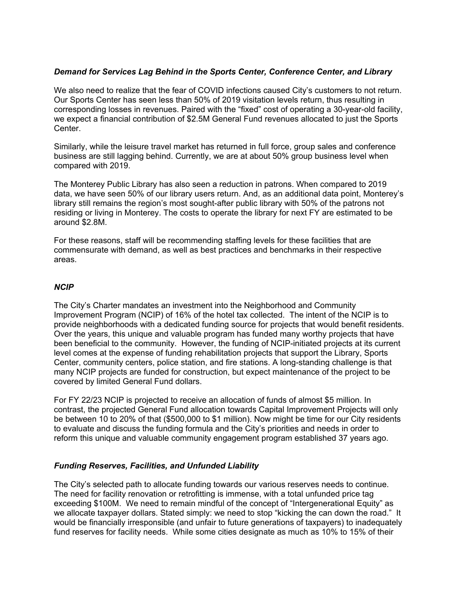# *Demand for Services Lag Behind in the Sports Center, Conference Center, and Library*

We also need to realize that the fear of COVID infections caused City's customers to not return. Our Sports Center has seen less than 50% of 2019 visitation levels return, thus resulting in corresponding losses in revenues. Paired with the "fixed" cost of operating a 30-year-old facility, we expect a financial contribution of \$2.5M General Fund revenues allocated to just the Sports Center.

Similarly, while the leisure travel market has returned in full force, group sales and conference business are still lagging behind. Currently, we are at about 50% group business level when compared with 2019.

The Monterey Public Library has also seen a reduction in patrons. When compared to 2019 data, we have seen 50% of our library users return. And, as an additional data point, Monterey's library still remains the region's most sought-after public library with 50% of the patrons not residing or living in Monterey. The costs to operate the library for next FY are estimated to be around \$2.8M.

For these reasons, staff will be recommending staffing levels for these facilities that are commensurate with demand, as well as best practices and benchmarks in their respective areas.

# *NCIP*

The City's Charter mandates an investment into the Neighborhood and Community Improvement Program (NCIP) of 16% of the hotel tax collected. The intent of the NCIP is to provide neighborhoods with a dedicated funding source for projects that would benefit residents. Over the years, this unique and valuable program has funded many worthy projects that have been beneficial to the community. However, the funding of NCIP-initiated projects at its current level comes at the expense of funding rehabilitation projects that support the Library, Sports Center, community centers, police station, and fire stations. A long-standing challenge is that many NCIP projects are funded for construction, but expect maintenance of the project to be covered by limited General Fund dollars.

For FY 22/23 NCIP is projected to receive an allocation of funds of almost \$5 million. In contrast, the projected General Fund allocation towards Capital Improvement Projects will only be between 10 to 20% of that (\$500,000 to \$1 million). Now might be time for our City residents to evaluate and discuss the funding formula and the City's priorities and needs in order to reform this unique and valuable community engagement program established 37 years ago.

# *Funding Reserves, Facilities, and Unfunded Liability*

The City's selected path to allocate funding towards our various reserves needs to continue. The need for facility renovation or retrofitting is immense, with a total unfunded price tag exceeding \$100M. We need to remain mindful of the concept of "Intergenerational Equity" as we allocate taxpayer dollars. Stated simply: we need to stop "kicking the can down the road." It would be financially irresponsible (and unfair to future generations of taxpayers) to inadequately fund reserves for facility needs. While some cities designate as much as 10% to 15% of their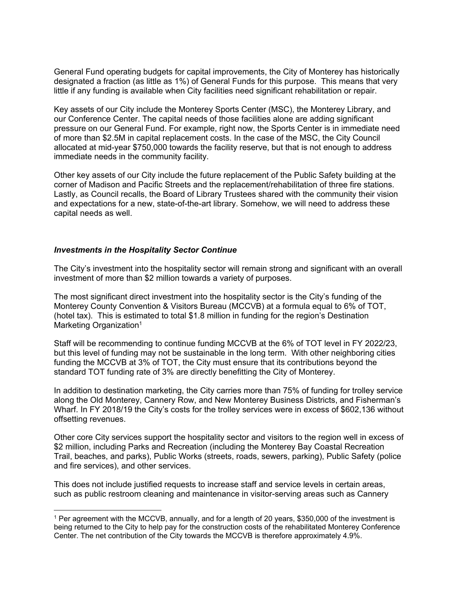General Fund operating budgets for capital improvements, the City of Monterey has historically designated a fraction (as little as 1%) of General Funds for this purpose. This means that very little if any funding is available when City facilities need significant rehabilitation or repair.

Key assets of our City include the Monterey Sports Center (MSC), the Monterey Library, and our Conference Center. The capital needs of those facilities alone are adding significant pressure on our General Fund. For example, right now, the Sports Center is in immediate need of more than \$2.5M in capital replacement costs. In the case of the MSC, the City Council allocated at mid-year \$750,000 towards the facility reserve, but that is not enough to address immediate needs in the community facility.

Other key assets of our City include the future replacement of the Public Safety building at the corner of Madison and Pacific Streets and the replacement/rehabilitation of three fire stations. Lastly, as Council recalls, the Board of Library Trustees shared with the community their vision and expectations for a new, state-of-the-art library. Somehow, we will need to address these capital needs as well.

## *Investments in the Hospitality Sector Continue*

The City's investment into the hospitality sector will remain strong and significant with an overall investment of more than \$2 million towards a variety of purposes.

The most significant direct investment into the hospitality sector is the City's funding of the Monterey County Convention & Visitors Bureau (MCCVB) at a formula equal to 6% of TOT, (hotel tax). This is estimated to total \$1.8 million in funding for the region's Destination Marketing Organization<sup>1</sup>

Staff will be recommending to continue funding MCCVB at the 6% of TOT level in FY 2022/23, but this level of funding may not be sustainable in the long term. With other neighboring cities funding the MCCVB at 3% of TOT, the City must ensure that its contributions beyond the standard TOT funding rate of 3% are directly benefitting the City of Monterey.

In addition to destination marketing, the City carries more than 75% of funding for trolley service along the Old Monterey, Cannery Row, and New Monterey Business Districts, and Fisherman's Wharf. In FY 2018/19 the City's costs for the trolley services were in excess of \$602,136 without offsetting revenues.

Other core City services support the hospitality sector and visitors to the region well in excess of \$2 million, including Parks and Recreation (including the Monterey Bay Coastal Recreation Trail, beaches, and parks), Public Works (streets, roads, sewers, parking), Public Safety (police and fire services), and other services.

This does not include justified requests to increase staff and service levels in certain areas, such as public restroom cleaning and maintenance in visitor-serving areas such as Cannery

<sup>1</sup> Per agreement with the MCCVB, annually, and for a length of 20 years, \$350,000 of the investment is being returned to the City to help pay for the construction costs of the rehabilitated Monterey Conference Center. The net contribution of the City towards the MCCVB is therefore approximately 4.9%.